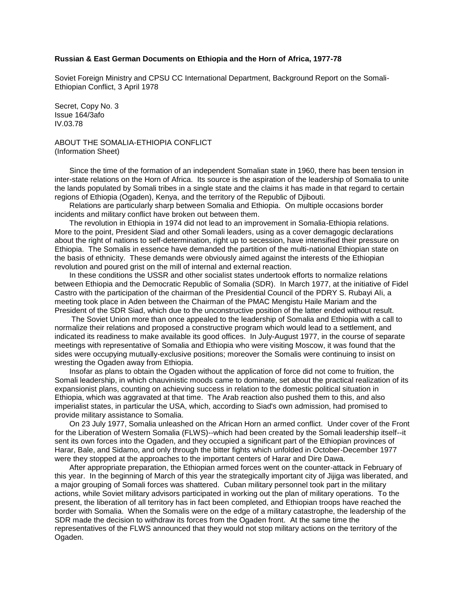## **Russian & East German Documents on Ethiopia and the Horn of Africa, 1977-78**

Soviet Foreign Ministry and CPSU CC International Department, Background Report on the Somali-Ethiopian Conflict, 3 April 1978

Secret, Copy No. 3 Issue 164/3afo IV.03.78

ABOUT THE SOMALIA-ETHIOPIA CONFLICT (Information Sheet)

 Since the time of the formation of an independent Somalian state in 1960, there has been tension in inter-state relations on the Horn of Africa. Its source is the aspiration of the leadership of Somalia to unite the lands populated by Somali tribes in a single state and the claims it has made in that regard to certain regions of Ethiopia (Ogaden), Kenya, and the territory of the Republic of Djibouti.

 Relations are particularly sharp between Somalia and Ethiopia. On multiple occasions border incidents and military conflict have broken out between them.

 The revolution in Ethiopia in 1974 did not lead to an improvement in Somalia-Ethiopia relations. More to the point, President Siad and other Somali leaders, using as a cover demagogic declarations about the right of nations to self-determination, right up to secession, have intensified their pressure on Ethiopia. The Somalis in essence have demanded the partition of the multi-national Ethiopian state on the basis of ethnicity. These demands were obviously aimed against the interests of the Ethiopian revolution and poured grist on the mill of internal and external reaction.

 In these conditions the USSR and other socialist states undertook efforts to normalize relations between Ethiopia and the Democratic Republic of Somalia (SDR). In March 1977, at the initiative of Fidel Castro with the participation of the chairman of the Presidential Council of the PDRY S. Rubayi Ali, a meeting took place in Aden between the Chairman of the PMAC Mengistu Haile Mariam and the President of the SDR Siad, which due to the unconstructive position of the latter ended without result.

The Soviet Union more than once appealed to the leadership of Somalia and Ethiopia with a call to normalize their relations and proposed a constructive program which would lead to a settlement, and indicated its readiness to make available its good offices. In July-August 1977, in the course of separate meetings with representative of Somalia and Ethiopia who were visiting Moscow, it was found that the sides were occupying mutually-exclusive positions; moreover the Somalis were continuing to insist on wresting the Ogaden away from Ethiopia.

 Insofar as plans to obtain the Ogaden without the application of force did not come to fruition, the Somali leadership, in which chauvinistic moods came to dominate, set about the practical realization of its expansionist plans, counting on achieving success in relation to the domestic political situation in Ethiopia, which was aggravated at that time. The Arab reaction also pushed them to this, and also imperialist states, in particular the USA, which, according to Siad's own admission, had promised to provide military assistance to Somalia.

 On 23 July 1977, Somalia unleashed on the African Horn an armed conflict. Under cover of the Front for the Liberation of Western Somalia (FLWS)--which had been created by the Somali leadership itself--it sent its own forces into the Ogaden, and they occupied a significant part of the Ethiopian provinces of Harar, Bale, and Sidamo, and only through the bitter fights which unfolded in October-December 1977 were they stopped at the approaches to the important centers of Harar and Dire Dawa.

 After appropriate preparation, the Ethiopian armed forces went on the counter-attack in February of this year. In the beginning of March of this year the strategically important city of Jijiga was liberated, and a major grouping of Somali forces was shattered. Cuban military personnel took part in the military actions, while Soviet military advisors participated in working out the plan of military operations. To the present, the liberation of all territory has in fact been completed, and Ethiopian troops have reached the border with Somalia. When the Somalis were on the edge of a military catastrophe, the leadership of the SDR made the decision to withdraw its forces from the Ogaden front. At the same time the representatives of the FLWS announced that they would not stop military actions on the territory of the Ogaden.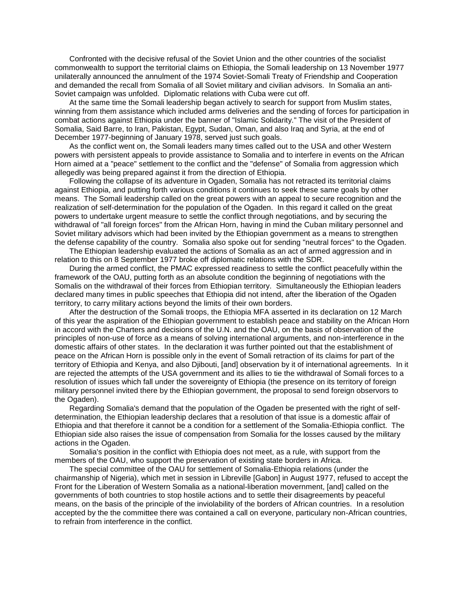Confronted with the decisive refusal of the Soviet Union and the other countries of the socialist commonwealth to support the territorial claims on Ethiopia, the Somali leadership on 13 November 1977 unilaterally announced the annulment of the 1974 Soviet-Somali Treaty of Friendship and Cooperation and demanded the recall from Somalia of all Soviet military and civilian advisors. In Somalia an anti-Soviet campaign was unfolded. Diplomatic relations with Cuba were cut off.

 At the same time the Somali leadership began actively to search for support from Muslim states, winning from them assistance which included arms deliveries and the sending of forces for participation in combat actions against Ethiopia under the banner of "Islamic Solidarity." The visit of the President of Somalia, Said Barre, to Iran, Pakistan, Egypt, Sudan, Oman, and also Iraq and Syria, at the end of December 1977-beginning of January 1978, served just such goals.

 As the conflict went on, the Somali leaders many times called out to the USA and other Western powers with persistent appeals to provide assistance to Somalia and to interfere in events on the African Horn aimed at a "peace" settlement to the conflict and the "defense" of Somalia from aggression which allegedly was being prepared against it from the direction of Ethiopia.

 Following the collapse of its adventure in Ogaden, Somalia has not retracted its territorial claims against Ethiopia, and putting forth various conditions it continues to seek these same goals by other means. The Somali leadership called on the great powers with an appeal to secure recognition and the realization of self-determination for the population of the Ogaden. In this regard it called on the great powers to undertake urgent measure to settle the conflict through negotiations, and by securing the withdrawal of "all foreign forces" from the African Horn, having in mind the Cuban military personnel and Soviet military advisors which had been invited by the Ethiopian government as a means to strengthen the defense capability of the country. Somalia also spoke out for sending "neutral forces" to the Ogaden.

 The Ethiopian leadership evaluated the actions of Somalia as an act of armed aggression and in relation to this on 8 September 1977 broke off diplomatic relations with the SDR.

 During the armed conflict, the PMAC expressed readiness to settle the conflict peacefully within the framework of the OAU, putting forth as an absolute condition the beginning of negotiations with the Somalis on the withdrawal of their forces from Ethiopian territory. Simultaneously the Ethiopian leaders declared many times in public speeches that Ethiopia did not intend, after the liberation of the Ogaden territory, to carry military actions beyond the limits of their own borders.

 After the destruction of the Somali troops, the Ethiopia MFA asserted in its declaration on 12 March of this year the aspiration of the Ethiopian government to establish peace and stability on the African Horn in accord with the Charters and decisions of the U.N. and the OAU, on the basis of observation of the principles of non-use of force as a means of solving international arguments, and non-interference in the domestic affairs of other states. In the declaration it was further pointed out that the establishment of peace on the African Horn is possible only in the event of Somali retraction of its claims for part of the territory of Ethiopia and Kenya, and also Djibouti, [and] observation by it of international agreements. In it are rejected the attempts of the USA government and its allies to tie the withdrawal of Somali forces to a resolution of issues which fall under the sovereignty of Ethiopia (the presence on its territory of foreign military personnel invited there by the Ethiopian government, the proposal to send foreign observors to the Ogaden).

 Regarding Somalia's demand that the population of the Ogaden be presented with the right of selfdetermination, the Ethiopian leadership declares that a resolution of that issue is a domestic affair of Ethiopia and that therefore it cannot be a condition for a settlement of the Somalia-Ethiopia conflict. The Ethiopian side also raises the issue of compensation from Somalia for the losses caused by the military actions in the Ogaden.

 Somalia's position in the conflict with Ethiopia does not meet, as a rule, with support from the members of the OAU, who support the preservation of existing state borders in Africa.

 The special committee of the OAU for settlement of Somalia-Ethiopia relations (under the chairmanship of Nigeria), which met in session in Libreville [Gabon] in August 1977, refused to accept the Front for the Liberation of Western Somalia as a national-liberation movernment, [and] called on the governments of both countries to stop hostile actions and to settle their disagreements by peaceful means, on the basis of the principle of the inviolability of the borders of African countries. In a resolution accepted by the the committee there was contained a call on everyone, particulary non-African countries, to refrain from interference in the conflict.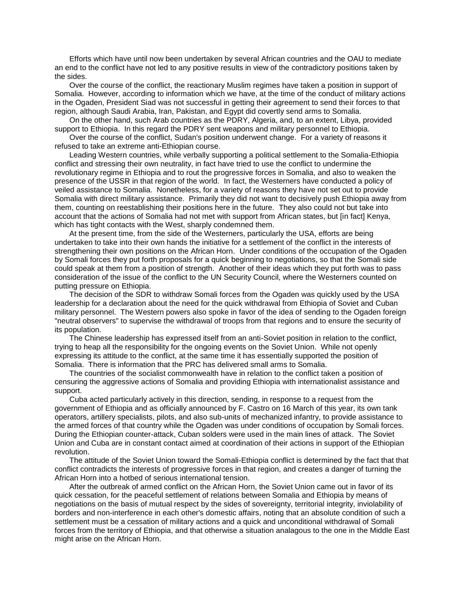Efforts which have until now been undertaken by several African countries and the OAU to mediate an end to the conflict have not led to any positive results in view of the contradictory positions taken by the sides.

 Over the course of the conflict, the reactionary Muslim regimes have taken a position in support of Somalia. However, according to information which we have, at the time of the conduct of military actions in the Ogaden, President Siad was not successful in getting their agreement to send their forces to that region, although Saudi Arabia, Iran, Pakistan, and Egypt did covertly send arms to Somalia.

 On the other hand, such Arab countries as the PDRY, Algeria, and, to an extent, Libya, provided support to Ethiopia. In this regard the PDRY sent weapons and military personnel to Ethiopia.

 Over the course of the conflict, Sudan's position underwent change. For a variety of reasons it refused to take an extreme anti-Ethiopian course.

 Leading Western countries, while verbally supporting a political settlement to the Somalia-Ethiopia conflict and stressing their own neutrality, in fact have tried to use the conflict to undermine the revolutionary regime in Ethiopia and to rout the progressive forces in Somalia, and also to weaken the presence of the USSR in that region of the world. In fact, the Westerners have conducted a policy of veiled assistance to Somalia. Nonetheless, for a variety of reasons they have not set out to provide Somalia with direct military assistance. Primarily they did not want to decisively push Ethiopia away from them, counting on reestablishing their positions here in the future. They also could not but take into account that the actions of Somalia had not met with support from African states, but [in fact] Kenya, which has tight contacts with the West, sharply condemned them.

 At the present time, from the side of the Westerners, particularly the USA, efforts are being undertaken to take into their own hands the initiative for a settlement of the conflict in the interests of strengthening their own positions on the African Horn. Under conditions of the occupation of the Ogaden by Somali forces they put forth proposals for a quick beginning to negotiations, so that the Somali side could speak at them from a position of strength. Another of their ideas which they put forth was to pass consideration of the issue of the conflict to the UN Security Council, where the Westerners counted on putting pressure on Ethiopia.

 The decision of the SDR to withdraw Somali forces from the Ogaden was quickly used by the USA leadership for a declaration about the need for the quick withdrawal from Ethiopia of Soviet and Cuban military personnel. The Western powers also spoke in favor of the idea of sending to the Ogaden foreign "neutral observers" to supervise the withdrawal of troops from that regions and to ensure the security of its population.

 The Chinese leadership has expressed itself from an anti-Soviet position in relation to the conflict, trying to heap all the responsibility for the ongoing events on the Soviet Union. While not openly expressing its attitude to the conflict, at the same time it has essentially supported the position of Somalia. There is information that the PRC has delivered small arms to Somalia.

 The countries of the socialist commonwealth have in relation to the conflict taken a position of censuring the aggressive actions of Somalia and providing Ethiopia with internationalist assistance and support.

 Cuba acted particularly actively in this direction, sending, in response to a request from the government of Ethiopia and as officially announced by F. Castro on 16 March of this year, its own tank operators, artillery specialists, pilots, and also sub-units of mechanized infantry, to provide assistance to the armed forces of that country while the Ogaden was under conditions of occupation by Somali forces. During the Ethiopian counter-attack, Cuban solders were used in the main lines of attack. The Soviet Union and Cuba are in constant contact aimed at coordination of their actions in support of the Ethiopian revolution.

 The attitude of the Soviet Union toward the Somali-Ethiopia conflict is determined by the fact that that conflict contradicts the interests of progressive forces in that region, and creates a danger of turning the African Horn into a hotbed of serious international tension.

 After the outbreak of armed conflict on the African Horn, the Soviet Union came out in favor of its quick cessation, for the peaceful settlement of relations between Somalia and Ethiopia by means of negotiations on the basis of mutual respect by the sides of sovereignty, territorial integrity, inviolability of borders and non-interference in each other's domestic affairs, noting that an absolute condition of such a settlement must be a cessation of military actions and a quick and unconditional withdrawal of Somali forces from the territory of Ethiopia, and that otherwise a situation analagous to the one in the Middle East might arise on the African Horn.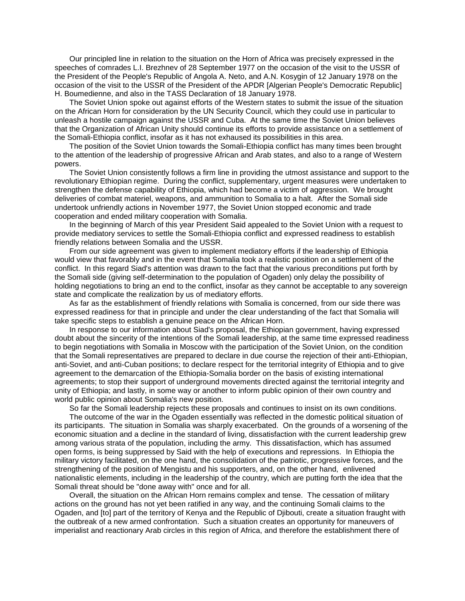Our principled line in relation to the situation on the Horn of Africa was precisely expressed in the speeches of comrades L.I. Brezhnev of 28 September 1977 on the occasion of the visit to the USSR of the President of the People's Republic of Angola A. Neto, and A.N. Kosygin of 12 January 1978 on the occasion of the visit to the USSR of the President of the APDR [Algerian People's Democratic Republic] H. Boumedienne, and also in the TASS Declaration of 18 January 1978.

 The Soviet Union spoke out against efforts of the Western states to submit the issue of the situation on the African Horn for consideration by the UN Security Council, which they could use in particular to unleash a hostile campaign against the USSR and Cuba. At the same time the Soviet Union believes that the Organization of African Unity should continue its efforts to provide assistance on a settlement of the Somali-Ethiopia conflict, insofar as it has not exhaused its possibilities in this area.

 The position of the Soviet Union towards the Somali-Ethiopia conflict has many times been brought to the attention of the leadership of progressive African and Arab states, and also to a range of Western powers.

 The Soviet Union consistently follows a firm line in providing the utmost assistance and support to the revolutionary Ethiopian regime. During the conflict, supplementary, urgent measures were undertaken to strengthen the defense capability of Ethiopia, which had become a victim of aggression. We brought deliveries of combat materiel, weapons, and ammunition to Somalia to a halt. After the Somali side undertook unfriendly actions in November 1977, the Soviet Union stopped economic and trade cooperation and ended military cooperation with Somalia.

 In the beginning of March of this year President Said appealed to the Soviet Union with a request to provide mediatory services to settle the Somali-Ethiopia conflict and expressed readiness to establish friendly relations between Somalia and the USSR.

 From our side agreement was given to implement mediatory efforts if the leadership of Ethiopia would view that favorably and in the event that Somalia took a realistic position on a settlement of the conflict. In this regard Siad's attention was drawn to the fact that the various preconditions put forth by the Somali side (giving self-determination to the population of Ogaden) only delay the possibility of holding negotiations to bring an end to the conflict, insofar as they cannot be acceptable to any sovereign state and complicate the realization by us of mediatory efforts.

 As far as the establishment of friendly relations with Somalia is concerned, from our side there was expressed readiness for that in principle and under the clear understanding of the fact that Somalia will take specific steps to establish a genuine peace on the African Horn.

 In response to our information about Siad's proposal, the Ethiopian government, having expressed doubt about the sincerity of the intentions of the Somali leadership, at the same time expressed readiness to begin negotiations with Somalia in Moscow with the participation of the Soviet Union, on the condition that the Somali representatives are prepared to declare in due course the rejection of their anti-Ethiopian, anti-Soviet, and anti-Cuban positions; to declare respect for the territorial integrity of Ethiopia and to give agreement to the demarcation of the Ethiopia-Somalia border on the basis of existing international agreements; to stop their support of underground movements directed against the territorial integrity and unity of Ethiopia; and lastly, in some way or another to inform public opinion of their own country and world public opinion about Somalia's new position.

So far the Somali leadership rejects these proposals and continues to insist on its own conditions.

 The outcome of the war in the Ogaden essentially was reflected in the domestic political situation of its participants. The situation in Somalia was sharply exacerbated. On the grounds of a worsening of the economic situation and a decline in the standard of living, dissatisfaction with the current leadership grew among various strata of the population, including the army. This dissatisfaction, which has assumed open forms, is being suppressed by Said with the help of executions and repressions. In Ethiopia the military victory facilitated, on the one hand, the consolidation of the patriotic, progressive forces, and the strengthening of the position of Mengistu and his supporters, and, on the other hand, enlivened nationalistic elements, including in the leadership of the country, which are putting forth the idea that the Somali threat should be "done away with" once and for all.

 Overall, the situation on the African Horn remains complex and tense. The cessation of military actions on the ground has not yet been ratified in any way, and the continuing Somali claims to the Ogaden, and [to] part of the territory of Kenya and the Republic of Djibouti, create a situation fraught with the outbreak of a new armed confrontation. Such a situation creates an opportunity for maneuvers of imperialist and reactionary Arab circles in this region of Africa, and therefore the establishment there of